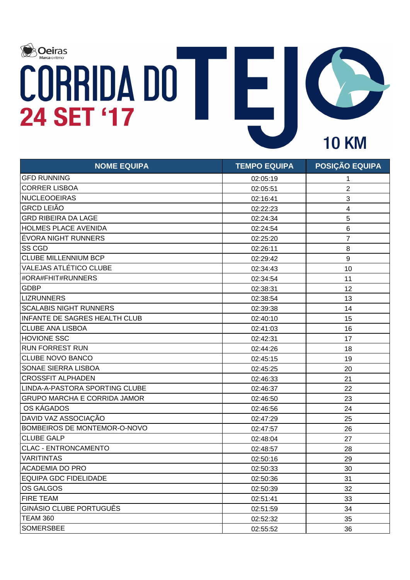

| <b>NOME EQUIPA</b>                   | <b>TEMPO EQUIPA</b> | POSIÇÃO EQUIPA          |
|--------------------------------------|---------------------|-------------------------|
| <b>GFD RUNNING</b>                   | 02:05:19            | 1                       |
| <b>CORRER LISBOA</b>                 | 02:05:51            | $\overline{2}$          |
| <b>NUCLEOOEIRAS</b>                  | 02:16:41            | 3                       |
| <b>GRCD LEIÃO</b>                    | 02:22:23            | $\overline{\mathbf{4}}$ |
| <b>GRD RIBEIRA DA LAGE</b>           | 02:24:34            | 5                       |
| <b>HOLMES PLACE AVENIDA</b>          | 02:24:54            | $\,6$                   |
| ÉVORA NIGHT RUNNERS                  | 02:25:20            | $\overline{7}$          |
| <b>SS CGD</b>                        | 02:26:11            | 8                       |
| <b>CLUBE MILLENNIUM BCP</b>          | 02:29:42            | $\boldsymbol{9}$        |
| <b>VALEJAS ATLÉTICO CLUBE</b>        | 02:34:43            | 10                      |
| #ORA#FHIT#RUNNERS                    | 02:34:54            | 11                      |
| <b>GDBP</b>                          | 02:38:31            | 12                      |
| <b>LIZRUNNERS</b>                    | 02:38:54            | 13                      |
| <b>SCALABIS NIGHT RUNNERS</b>        | 02:39:38            | 14                      |
| <b>INFANTE DE SAGRES HEALTH CLUB</b> | 02:40:10            | 15                      |
| <b>CLUBE ANA LISBOA</b>              | 02:41:03            | 16                      |
| <b>HOVIONE SSC</b>                   | 02:42:31            | 17                      |
| <b>RUN FORREST RUN</b>               | 02:44:26            | 18                      |
| <b>CLUBE NOVO BANCO</b>              | 02:45:15            | 19                      |
| <b>SONAE SIERRA LISBOA</b>           | 02:45:25            | 20                      |
| <b>CROSSFIT ALPHADEN</b>             | 02:46:33            | 21                      |
| LINDA-A-PASTORA SPORTING CLUBE       | 02:46:37            | 22                      |
| <b>GRUPO MARCHA E CORRIDA JAMOR</b>  | 02:46:50            | 23                      |
| OS KÁGADOS                           | 02:46:56            | 24                      |
| DAVID VAZ ASSOCIAÇÃO                 | 02:47:29            | 25                      |
| <b>BOMBEIROS DE MONTEMOR-O-NOVO</b>  | 02:47:57            | 26                      |
| <b>CLUBE GALP</b>                    | 02:48:04            | 27                      |
| <b>CLAC - ENTRONCAMENTO</b>          | 02:48:57            | 28                      |
| <b>VARITINTAS</b>                    | 02:50:16            | 29                      |
| <b>ACADEMIA DO PRO</b>               | 02:50:33            | 30                      |
| EQUIPA GDC FIDELIDADE                | 02:50:36            | 31                      |
| OS GALGOS                            | 02:50:39            | 32                      |
| <b>FIRE TEAM</b>                     | 02:51:41            | 33                      |
| <b>GINÁSIO CLUBE PORTUGUÊS</b>       | 02:51:59            | 34                      |
| <b>TEAM 360</b>                      | 02:52:32            | 35                      |
| <b>SOMERSBEE</b>                     | 02:55:52            | 36                      |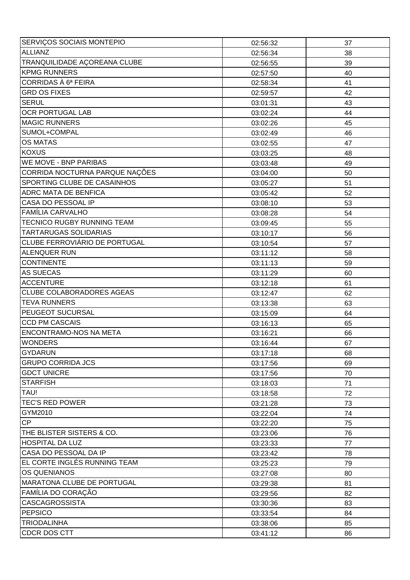| SERVIÇOS SOCIAIS MONTEPIO          | 02:56:32 | 37 |
|------------------------------------|----------|----|
| <b>ALLIANZ</b>                     | 02:56:34 | 38 |
| TRANQUILIDADE AÇOREANA CLUBE       | 02:56:55 | 39 |
| <b>KPMG RUNNERS</b>                | 02:57:50 | 40 |
| CORRIDAS À 6ª FEIRA                | 02:58:34 | 41 |
| <b>GRD OS FIXES</b>                | 02:59:57 | 42 |
| <b>SERUL</b>                       | 03:01:31 | 43 |
| <b>OCR PORTUGAL LAB</b>            | 03:02:24 | 44 |
| <b>MAGIC RUNNERS</b>               | 03:02:26 | 45 |
| SUMOL+COMPAL                       | 03:02:49 | 46 |
| <b>OS MATAS</b>                    | 03:02:55 | 47 |
| <b>KOXUS</b>                       | 03:03:25 | 48 |
| <b>WE MOVE - BNP PARIBAS</b>       | 03:03:48 | 49 |
| CORRIDA NOCTURNA PARQUE NAÇÕES     | 03:04:00 | 50 |
| <b>SPORTING CLUBE DE CASAINHOS</b> | 03:05:27 | 51 |
| <b>ADRC MATA DE BENFICA</b>        | 03:05:42 | 52 |
| CASA DO PESSOAL IP                 | 03:08:10 | 53 |
| <b>FAMÍLIA CARVALHO</b>            | 03:08:28 | 54 |
| <b>TECNICO RUGBY RUNNING TEAM</b>  | 03:09:45 | 55 |
| <b>TARTARUGAS SOLIDARIAS</b>       | 03:10:17 | 56 |
| CLUBE FERROVIÁRIO DE PORTUGAL      | 03:10:54 | 57 |
| <b>ALENQUER RUN</b>                | 03:11:12 | 58 |
| <b>CONTINENTE</b>                  | 03:11:13 | 59 |
| <b>AS SUECAS</b>                   | 03:11:29 | 60 |
| <b>ACCENTURE</b>                   | 03:12:18 | 61 |
| <b>CLUBE COLABORADORES AGEAS</b>   | 03:12:47 | 62 |
| <b>TEVA RUNNERS</b>                | 03:13:38 | 63 |
| <b>PEUGEOT SUCURSAL</b>            | 03:15:09 | 64 |
| <b>CCD PM CASCAIS</b>              | 03:16:13 | 65 |
| <b>ENCONTRAMO-NOS NA META</b>      | 03:16:21 | 66 |
| <b>WONDERS</b>                     | 03:16:44 | 67 |
| GYDARUN                            | 03:17:18 | 68 |
| <b>GRUPO CORRIDA JCS</b>           | 03:17:56 | 69 |
| <b>GDCT UNICRE</b>                 | 03:17:56 | 70 |
| <b>STARFISH</b>                    | 03:18:03 | 71 |
| TAU!                               | 03:18:58 | 72 |
| <b>TEC'S RED POWER</b>             | 03:21:28 | 73 |
| GYM2010                            | 03:22:04 | 74 |
| <b>CP</b>                          | 03:22:20 | 75 |
| THE BLISTER SISTERS & CO.          | 03:23:06 | 76 |
| <b>HOSPITAL DA LUZ</b>             | 03:23:33 | 77 |
| CASA DO PESSOAL DA IP              | 03:23:42 | 78 |
| EL CORTE INGLÉS RUNNING TEAM       | 03:25:23 | 79 |
| <b>OS QUENIANOS</b>                | 03:27:08 | 80 |
| MARATONA CLUBE DE PORTUGAL         | 03:29:38 | 81 |
| FAMÍLIA DO CORAÇÃO                 | 03:29:56 | 82 |
| <b>CASCAGROSSISTA</b>              | 03:30:36 | 83 |
| PEPSICO                            | 03:33:54 | 84 |
| <b>TRIODALINHA</b>                 | 03:38:06 | 85 |
| CDCR DOS CTT                       | 03:41:12 | 86 |